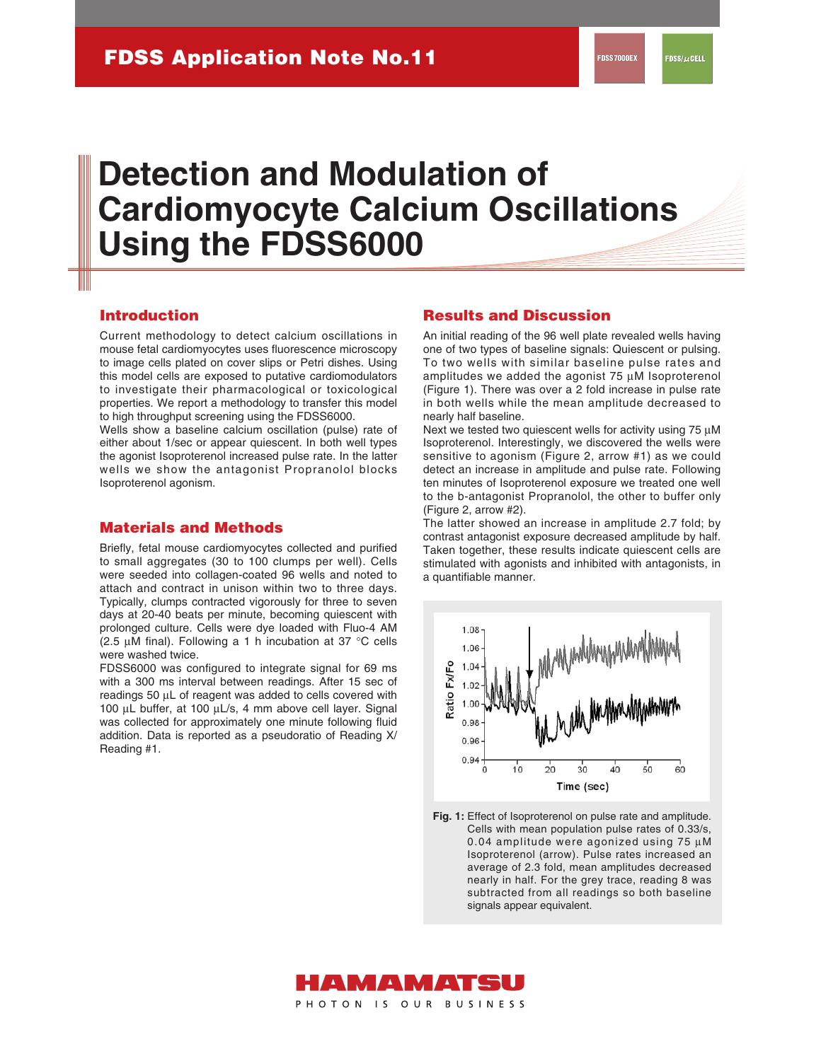# **Detection and Modulation of Cardiomyocyte Calcium Oscillations Using the FDSS6000**

#### **Introduction**

Current methodology to detect calcium oscillations in mouse fetal cardiomyocytes uses fluorescence microscopy to image cells plated on cover slips or Petri dishes. Using this model cells are exposed to putative cardiomodulators to investigate their pharmacological or toxicological properties. We report a methodology to transfer this model to high throughput screening using the FDSS6000.

Wells show a baseline calcium oscillation (pulse) rate of either about 1/sec or appear quiescent. In both well types the agonist Isoproterenol increased pulse rate. In the latter wells we show the antagonist Propranolol blocks Isoproterenol agonism.

#### **Materials and Methods**

Briefly, fetal mouse cardiomyocytes collected and purified to small aggregates (30 to 100 clumps per well). Cells were seeded into collagen-coated 96 wells and noted to attach and contract in unison within two to three days. Typically, clumps contracted vigorously for three to seven days at 20-40 beats per minute, becoming quiescent with prolonged culture. Cells were dye loaded with Fluo-4 AM (2.5  $\mu$ M final). Following a 1 h incubation at 37 °C cells were washed twice.

FDSS6000 was configured to integrate signal for 69 ms with a 300 ms interval between readings. After 15 sec of readings 50 µL of reagent was added to cells covered with 100 µL buffer, at 100 µL/s, 4 mm above cell layer. Signal was collected for approximately one minute following fluid addition. Data is reported as a pseudoratio of Reading X/ Reading #1.

### **Results and Discussion**

An initial reading of the 96 well plate revealed wells having one of two types of baseline signals: Quiescent or pulsing. To two wells with similar baseline pulse rates and amplitudes we added the agonist 75 µM Isoproterenol (Figure 1). There was over a 2 fold increase in pulse rate in both wells while the mean amplitude decreased to nearly half baseline.

Next we tested two quiescent wells for activity using  $75 \mu M$ Isoproterenol. Interestingly, we discovered the wells were sensitive to agonism (Figure 2, arrow #1) as we could detect an increase in amplitude and pulse rate. Following ten minutes of Isoproterenol exposure we treated one well to the b-antagonist Propranolol, the other to buffer only (Figure 2, arrow #2).

The latter showed an increase in amplitude 2.7 fold; by contrast antagonist exposure decreased amplitude by half. Taken together, these results indicate quiescent cells are stimulated with agonists and inhibited with antagonists, in a quantifiable manner.



Fig. 1: Effect of Isoproterenol on pulse rate and amplitude. Cells with mean population pulse rates of 0.33/s, 0.04 amplitude were agonized using 75 µM Isoproterenol (arrow). Pulse rates increased an average of 2.3 fold, mean amplitudes decreased nearly in half. For the grey trace, reading 8 was subtracted from all readings so both baseline signals appear equivalent.